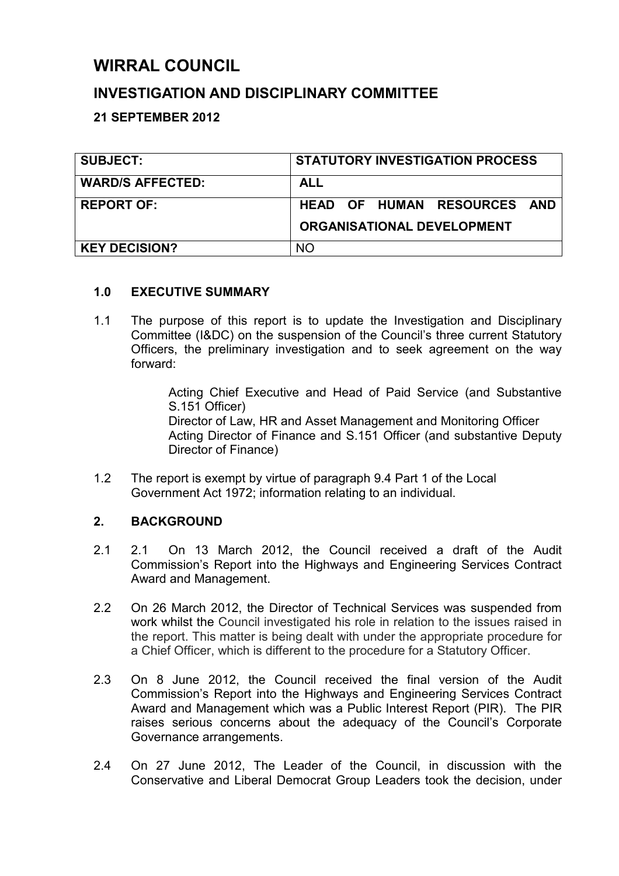## **WIRRAL COUNCIL**

## **INVESTIGATION AND DISCIPLINARY COMMITTEE**

**21 SEPTEMBER 2012** 

| <b>SUBJECT:</b>         | <b>STATUTORY INVESTIGATION PROCESS</b>                           |  |  |  |
|-------------------------|------------------------------------------------------------------|--|--|--|
| <b>WARD/S AFFECTED:</b> | <b>ALL</b>                                                       |  |  |  |
| <b>REPORT OF:</b>       | HEAD OF HUMAN RESOURCES AND<br><b>ORGANISATIONAL DEVELOPMENT</b> |  |  |  |
| <b>KEY DECISION?</b>    | NΟ                                                               |  |  |  |

#### **1.0 EXECUTIVE SUMMARY**

1.1 The purpose of this report is to update the Investigation and Disciplinary Committee (I&DC) on the suspension of the Council's three current Statutory Officers, the preliminary investigation and to seek agreement on the way forward:

> Acting Chief Executive and Head of Paid Service (and Substantive S.151 Officer)

> Director of Law, HR and Asset Management and Monitoring Officer Acting Director of Finance and S.151 Officer (and substantive Deputy Director of Finance)

1.2 The report is exempt by virtue of paragraph 9.4 Part 1 of the Local Government Act 1972; information relating to an individual.

## **2. BACKGROUND**

- 2.1 2.1 On 13 March 2012, the Council received a draft of the Audit Commission's Report into the Highways and Engineering Services Contract Award and Management.
- 2.2 On 26 March 2012, the Director of Technical Services was suspended from work whilst the Council investigated his role in relation to the issues raised in the report. This matter is being dealt with under the appropriate procedure for a Chief Officer, which is different to the procedure for a Statutory Officer.
- 2.3 On 8 June 2012, the Council received the final version of the Audit Commission's Report into the Highways and Engineering Services Contract Award and Management which was a Public Interest Report (PIR). The PIR raises serious concerns about the adequacy of the Council's Corporate Governance arrangements.
- 2.4 On 27 June 2012, The Leader of the Council, in discussion with the Conservative and Liberal Democrat Group Leaders took the decision, under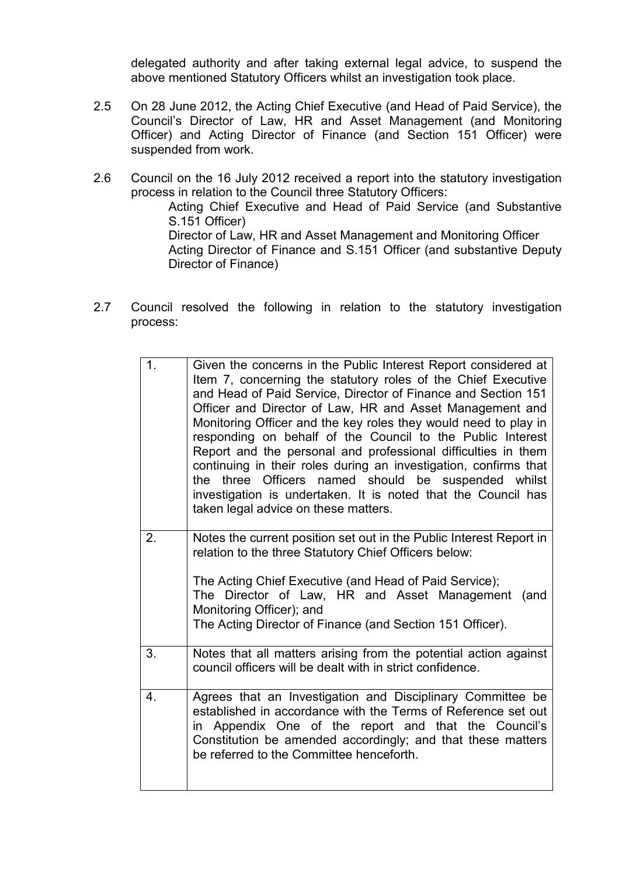delegated authority and after taking external legal advice, to suspend the above mentioned Statutory Officers whilst an investigation took place.

- 2.5 On 28 June 2012, the Acting Chief Executive (and Head of Paid Service), the Council's Director of Law, HR and Asset Management (and Monitoring Officer) and Acting Director of Finance (and Section 151 Officer) were suspended from work.
- 2.6 Council on the 16 July 2012 received a report into the statutory investigation process in relation to the Council three Statutory Officers:

Acting Chief Executive and Head of Paid Service (and Substantive S.151 Officer) Director of Law, HR and Asset Management and Monitoring Officer

Acting Director of Finance and S.151 Officer (and substantive Deputy Director of Finance)

2.7 Council resolved the following in relation to the statutory investigation process:

| 1 <sub>1</sub> | Given the concerns in the Public Interest Report considered at<br>Item 7, concerning the statutory roles of the Chief Executive<br>and Head of Paid Service, Director of Finance and Section 151<br>Officer and Director of Law, HR and Asset Management and<br>Monitoring Officer and the key roles they would need to play in<br>responding on behalf of the Council to the Public Interest<br>Report and the personal and professional difficulties in them<br>continuing in their roles during an investigation, confirms that<br>the three Officers named should be suspended whilst<br>investigation is undertaken. It is noted that the Council has<br>taken legal advice on these matters. |
|----------------|----------------------------------------------------------------------------------------------------------------------------------------------------------------------------------------------------------------------------------------------------------------------------------------------------------------------------------------------------------------------------------------------------------------------------------------------------------------------------------------------------------------------------------------------------------------------------------------------------------------------------------------------------------------------------------------------------|
| 2.             | Notes the current position set out in the Public Interest Report in<br>relation to the three Statutory Chief Officers below:<br>The Acting Chief Executive (and Head of Paid Service);<br>The Director of Law, HR and Asset Management<br>(and<br>Monitoring Officer); and<br>The Acting Director of Finance (and Section 151 Officer).                                                                                                                                                                                                                                                                                                                                                            |
| 3.             | Notes that all matters arising from the potential action against<br>council officers will be dealt with in strict confidence.                                                                                                                                                                                                                                                                                                                                                                                                                                                                                                                                                                      |
| 4.             | Agrees that an Investigation and Disciplinary Committee be<br>established in accordance with the Terms of Reference set out<br>in Appendix One of the report and that the Council's<br>Constitution be amended accordingly; and that these matters<br>be referred to the Committee henceforth.                                                                                                                                                                                                                                                                                                                                                                                                     |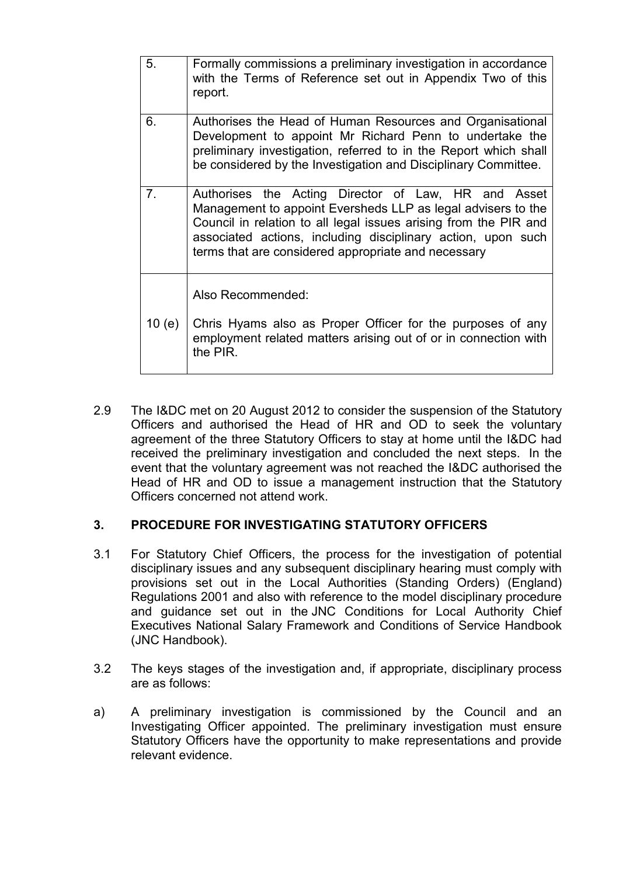| 5.       | Formally commissions a preliminary investigation in accordance<br>with the Terms of Reference set out in Appendix Two of this<br>report.                                                                                                                                                                       |
|----------|----------------------------------------------------------------------------------------------------------------------------------------------------------------------------------------------------------------------------------------------------------------------------------------------------------------|
| 6.       | Authorises the Head of Human Resources and Organisational<br>Development to appoint Mr Richard Penn to undertake the<br>preliminary investigation, referred to in the Report which shall<br>be considered by the Investigation and Disciplinary Committee.                                                     |
| 7.       | Authorises the Acting Director of Law, HR and Asset<br>Management to appoint Eversheds LLP as legal advisers to the<br>Council in relation to all legal issues arising from the PIR and<br>associated actions, including disciplinary action, upon such<br>terms that are considered appropriate and necessary |
| 10 $(e)$ | Also Recommended:<br>Chris Hyams also as Proper Officer for the purposes of any                                                                                                                                                                                                                                |
|          | employment related matters arising out of or in connection with<br>the PIR.                                                                                                                                                                                                                                    |

2.9 The I&DC met on 20 August 2012 to consider the suspension of the Statutory Officers and authorised the Head of HR and OD to seek the voluntary agreement of the three Statutory Officers to stay at home until the I&DC had received the preliminary investigation and concluded the next steps. In the event that the voluntary agreement was not reached the I&DC authorised the Head of HR and OD to issue a management instruction that the Statutory Officers concerned not attend work.

## **3. PROCEDURE FOR INVESTIGATING STATUTORY OFFICERS**

- 3.1 For Statutory Chief Officers, the process for the investigation of potential disciplinary issues and any subsequent disciplinary hearing must comply with provisions set out in the Local Authorities (Standing Orders) (England) Regulations 2001 and also with reference to the model disciplinary procedure and guidance set out in the JNC Conditions for Local Authority Chief Executives National Salary Framework and Conditions of Service Handbook (JNC Handbook).
- 3.2 The keys stages of the investigation and, if appropriate, disciplinary process are as follows:
- a) A preliminary investigation is commissioned by the Council and an Investigating Officer appointed. The preliminary investigation must ensure Statutory Officers have the opportunity to make representations and provide relevant evidence.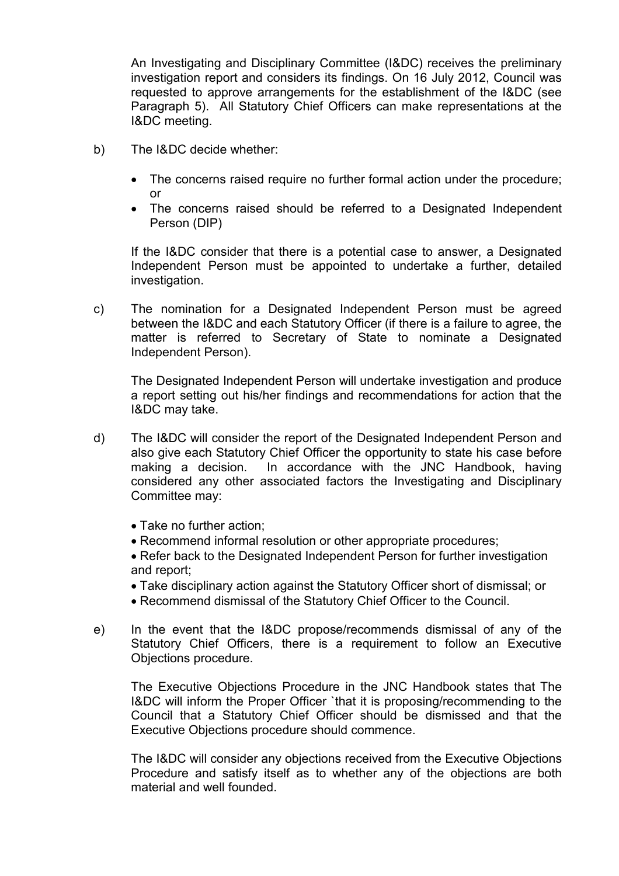An Investigating and Disciplinary Committee (I&DC) receives the preliminary investigation report and considers its findings. On 16 July 2012, Council was requested to approve arrangements for the establishment of the I&DC (see Paragraph 5). All Statutory Chief Officers can make representations at the I&DC meeting.

- b) The I&DC decide whether:
	- The concerns raised require no further formal action under the procedure; or
	- The concerns raised should be referred to a Designated Independent Person (DIP)

If the I&DC consider that there is a potential case to answer, a Designated Independent Person must be appointed to undertake a further, detailed investigation.

c) The nomination for a Designated Independent Person must be agreed between the I&DC and each Statutory Officer (if there is a failure to agree, the matter is referred to Secretary of State to nominate a Designated Independent Person).

 The Designated Independent Person will undertake investigation and produce a report setting out his/her findings and recommendations for action that the I&DC may take.

- d) The I&DC will consider the report of the Designated Independent Person and also give each Statutory Chief Officer the opportunity to state his case before making a decision. In accordance with the JNC Handbook, having considered any other associated factors the Investigating and Disciplinary Committee may:
	- Take no further action;
	- Recommend informal resolution or other appropriate procedures;
	- Refer back to the Designated Independent Person for further investigation and report;
	- Take disciplinary action against the Statutory Officer short of dismissal; or
	- Recommend dismissal of the Statutory Chief Officer to the Council.
- e) In the event that the I&DC propose/recommends dismissal of any of the Statutory Chief Officers, there is a requirement to follow an Executive Objections procedure.

 The Executive Objections Procedure in the JNC Handbook states that The I&DC will inform the Proper Officer `that it is proposing/recommending to the Council that a Statutory Chief Officer should be dismissed and that the Executive Objections procedure should commence.

The I&DC will consider any objections received from the Executive Objections Procedure and satisfy itself as to whether any of the objections are both material and well founded.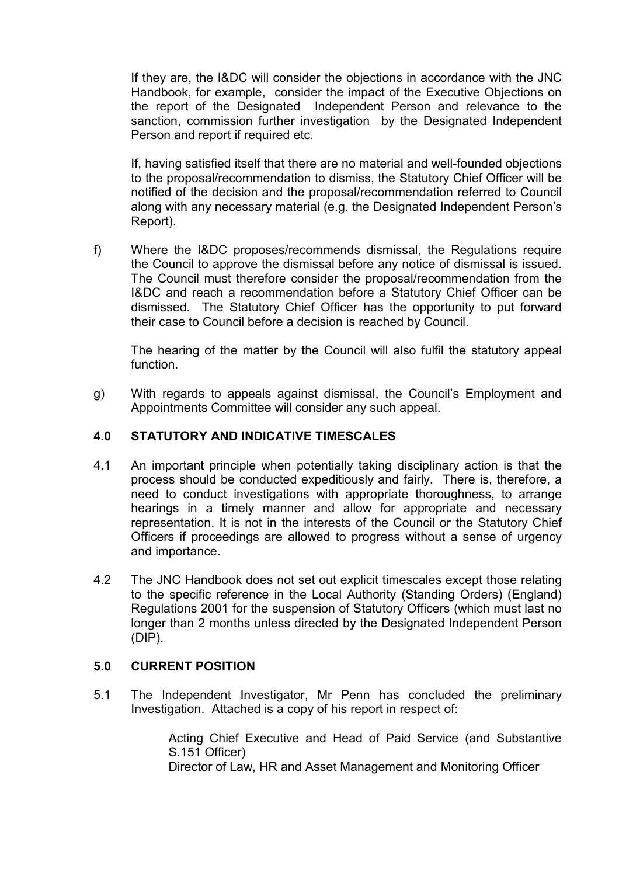If they are, the I&DC will consider the objections in accordance with the JNC Handbook, for example, consider the impact of the Executive Objections on the report of the Designated Independent Person and relevance to the sanction, commission further investigation by the Designated Independent Person and report if required etc.

 If, having satisfied itself that there are no material and well-founded objections to the proposal/recommendation to dismiss, the Statutory Chief Officer will be notified of the decision and the proposal/recommendation referred to Council along with any necessary material (e.g. the Designated Independent Person's Report).

f) Where the I&DC proposes/recommends dismissal, the Regulations require the Council to approve the dismissal before any notice of dismissal is issued. The Council must therefore consider the proposal/recommendation from the I&DC and reach a recommendation before a Statutory Chief Officer can be dismissed. The Statutory Chief Officer has the opportunity to put forward their case to Council before a decision is reached by Council.

 The hearing of the matter by the Council will also fulfil the statutory appeal function.

g) With regards to appeals against dismissal, the Council's Employment and Appointments Committee will consider any such appeal.

#### **4.0 STATUTORY AND INDICATIVE TIMESCALES**

- 4.1 An important principle when potentially taking disciplinary action is that the process should be conducted expeditiously and fairly. There is, therefore, a need to conduct investigations with appropriate thoroughness, to arrange hearings in a timely manner and allow for appropriate and necessary representation. It is not in the interests of the Council or the Statutory Chief Officers if proceedings are allowed to progress without a sense of urgency and importance.
- 4.2 The JNC Handbook does not set out explicit timescales except those relating to the specific reference in the Local Authority (Standing Orders) (England) Regulations 2001 for the suspension of Statutory Officers (which must last no longer than 2 months unless directed by the Designated Independent Person (DIP).

#### **5.0 CURRENT POSITION**

5.1 The Independent Investigator, Mr Penn has concluded the preliminary Investigation. Attached is a copy of his report in respect of:

> Acting Chief Executive and Head of Paid Service (and Substantive S.151 Officer) Director of Law, HR and Asset Management and Monitoring Officer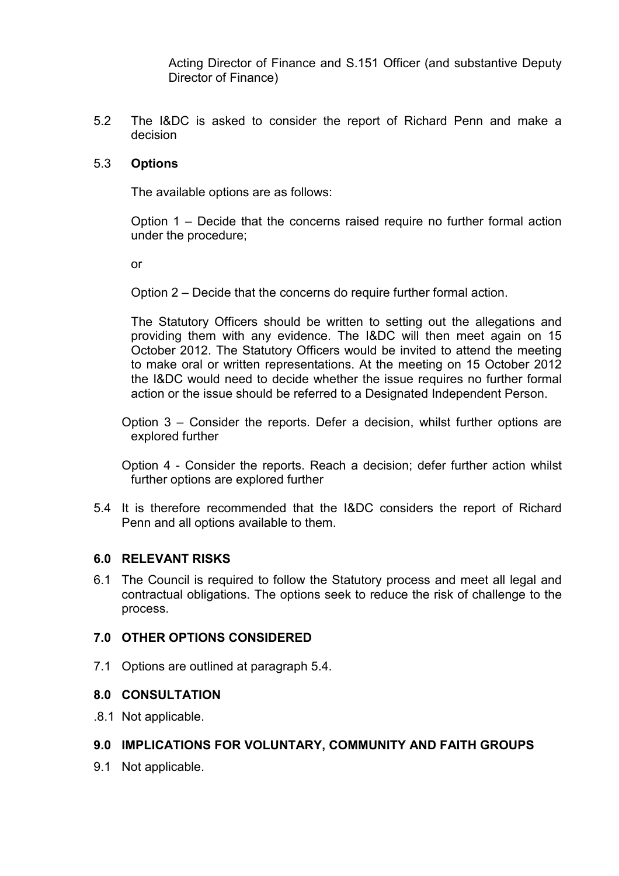Acting Director of Finance and S.151 Officer (and substantive Deputy Director of Finance)

5.2 The I&DC is asked to consider the report of Richard Penn and make a decision

#### 5.3 **Options**

The available options are as follows:

 Option 1 – Decide that the concerns raised require no further formal action under the procedure;

or

Option 2 – Decide that the concerns do require further formal action.

 The Statutory Officers should be written to setting out the allegations and providing them with any evidence. The I&DC will then meet again on 15 October 2012. The Statutory Officers would be invited to attend the meeting to make oral or written representations. At the meeting on 15 October 2012 the I&DC would need to decide whether the issue requires no further formal action or the issue should be referred to a Designated Independent Person.

Option 3 – Consider the reports. Defer a decision, whilst further options are explored further

Option 4 - Consider the reports. Reach a decision; defer further action whilst further options are explored further

5.4 It is therefore recommended that the I&DC considers the report of Richard Penn and all options available to them.

#### **6.0 RELEVANT RISKS**

6.1 The Council is required to follow the Statutory process and meet all legal and contractual obligations. The options seek to reduce the risk of challenge to the process.

#### **7.0 OTHER OPTIONS CONSIDERED**

7.1 Options are outlined at paragraph 5.4.

#### **8.0 CONSULTATION**

.8.1 Not applicable.

#### **9.0 IMPLICATIONS FOR VOLUNTARY, COMMUNITY AND FAITH GROUPS**

9.1 Not applicable.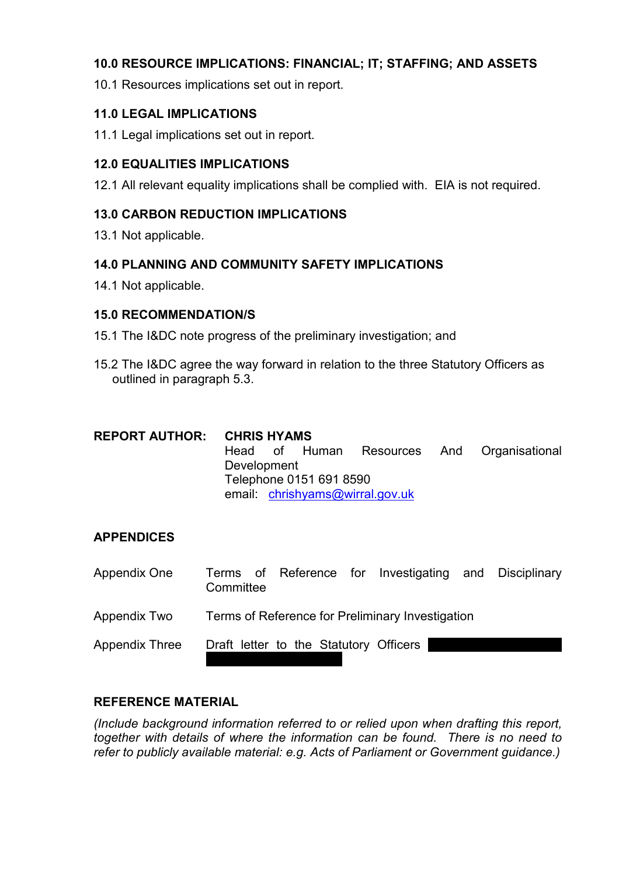## **10.0 RESOURCE IMPLICATIONS: FINANCIAL; IT; STAFFING; AND ASSETS**

10.1 Resources implications set out in report.

## **11.0 LEGAL IMPLICATIONS**

11.1 Legal implications set out in report.

## **12.0 EQUALITIES IMPLICATIONS**

12.1 All relevant equality implications shall be complied with. EIA is not required.

## **13.0 CARBON REDUCTION IMPLICATIONS**

13.1 Not applicable.

#### **14.0 PLANNING AND COMMUNITY SAFETY IMPLICATIONS**

14.1 Not applicable.

## **15.0 RECOMMENDATION/S**

- 15.1 The I&DC note progress of the preliminary investigation; and
- 15.2 The I&DC agree the way forward in relation to the three Statutory Officers as outlined in paragraph 5.3.

| <b>REPORT AUTHOR: CHRIS HYAMS</b> |                                |  |               |  |  |                              |  |
|-----------------------------------|--------------------------------|--|---------------|--|--|------------------------------|--|
|                                   |                                |  | Head of Human |  |  | Resources And Organisational |  |
|                                   | Development                    |  |               |  |  |                              |  |
|                                   | Telephone 0151 691 8590        |  |               |  |  |                              |  |
|                                   | email chrishyams@wirral.gov.uk |  |               |  |  |                              |  |

## **APPENDICES**

| Appendix One          | Committee                              |  | Terms of Reference for Investigating and Disciplinary |  |
|-----------------------|----------------------------------------|--|-------------------------------------------------------|--|
| Appendix Two          |                                        |  | Terms of Reference for Preliminary Investigation      |  |
| <b>Appendix Three</b> | Draft letter to the Statutory Officers |  |                                                       |  |

## **REFERENCE MATERIAL**

*(Include background information referred to or relied upon when drafting this report, together with details of where the information can be found. There is no need to refer to publicly available material: e.g. Acts of Parliament or Government guidance.)*